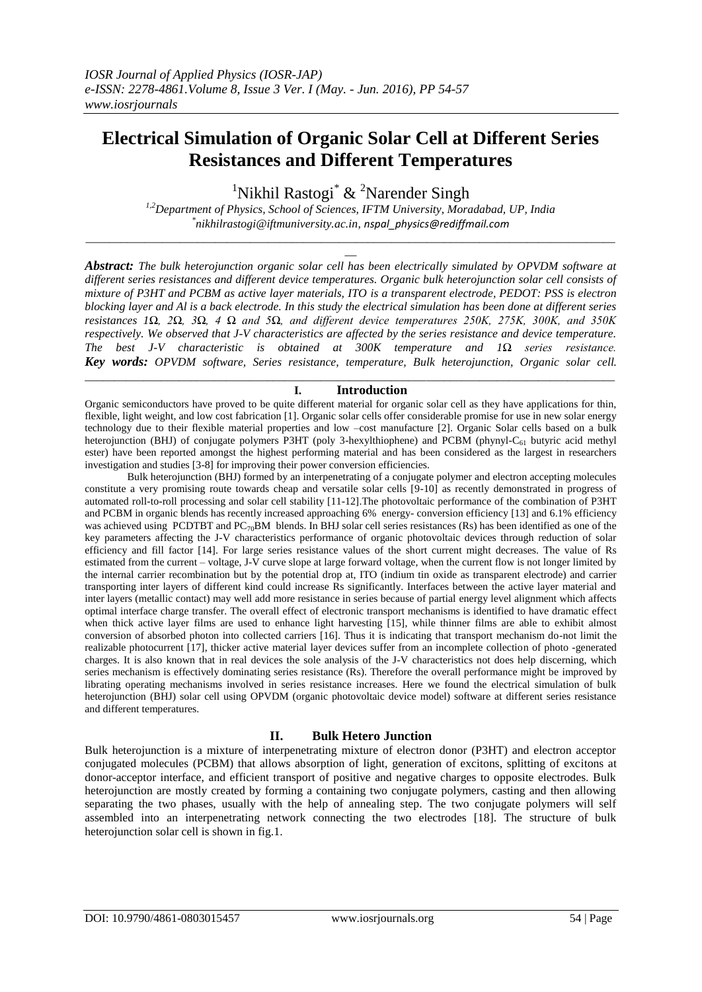# **Electrical Simulation of Organic Solar Cell at Different Series Resistances and Different Temperatures**

<sup>1</sup>Nikhil Rastogi<sup>\*</sup> & <sup>2</sup>Narender Singh

*1,2Department of Physics, School of Sciences, IFTM University, Moradabad, UP, India \* [nikhilrastogi@iftmuniversity.ac.in,](mailto:nikhilrastogi@iftmuniversity.ac.in) [nspal\\_physics@rediffmail.com](mailto:nspal_physics@rediffmail.com) \_\_\_\_\_\_\_\_\_\_\_\_\_\_\_\_\_\_\_\_\_\_\_\_\_\_\_\_\_\_\_\_\_\_\_\_\_\_\_\_\_\_\_\_\_\_\_\_\_\_\_\_\_\_\_\_\_\_\_\_\_\_\_\_\_\_\_\_\_\_\_\_\_\_\_\_\_\_\_\_\_\_\_\_\_\_\_\_\_\_*

*\_\_*

*Abstract: The bulk heterojunction organic solar cell has been electrically simulated by OPVDM software at different series resistances and different device temperatures. Organic bulk heterojunction solar cell consists of mixture of P3HT and PCBM as active layer materials, ITO is a transparent electrode, PEDOT: PSS is electron blocking layer and Al is a back electrode. In this study the electrical simulation has been done at different series resistances 1Ω, 2Ω, 3Ω, 4 Ω and 5Ω, and different device temperatures 250K, 275K, 300K, and 350K respectively. We observed that J-V characteristics are affected by the series resistance and device temperature. The best J-V characteristic is obtained at 300K temperature and 1Ω series resistance. Key words: OPVDM software, Series resistance, temperature, Bulk heterojunction, Organic solar cell.* 

## **I. Introduction**

Organic semiconductors have proved to be quite different material for organic solar cell as they have applications for thin, flexible, light weight, and low cost fabrication [1]. Organic solar cells offer considerable promise for use in new solar energy technology due to their flexible material properties and low –cost manufacture [2]. Organic Solar cells based on a bulk heteroiunction (BHJ) of conjugate polymers P3HT (poly 3-hexylthiophene) and PCBM (phynyl-C<sub>61</sub> butyric acid methyl ester) have been reported amongst the highest performing material and has been considered as the largest in researchers investigation and studies [3-8] for improving their power conversion efficiencies.

\_\_\_\_\_\_\_\_\_\_\_\_\_\_\_\_\_\_\_\_\_\_\_\_\_\_\_\_\_\_\_\_\_\_\_\_\_\_\_\_\_\_\_\_\_\_\_\_\_\_\_\_\_\_\_\_\_\_\_\_\_\_\_\_\_\_\_\_\_\_\_\_\_\_\_\_\_\_\_\_\_\_\_\_\_\_\_\_\_\_

Bulk heterojunction (BHJ) formed by an interpenetrating of a conjugate polymer and electron accepting molecules constitute a very promising route towards cheap and versatile solar cells [9-10] as recently demonstrated in progress of automated roll-to-roll processing and solar cell stability [11-12].The photovoltaic performance of the combination of P3HT and PCBM in organic blends has recently increased approaching 6% energy- conversion efficiency [13] and 6.1% efficiency was achieved using PCDTBT and PC<sub>70</sub>BM blends. In BHJ solar cell series resistances (Rs) has been identified as one of the key parameters affecting the J-V characteristics performance of organic photovoltaic devices through reduction of solar efficiency and fill factor [14]. For large series resistance values of the short current might decreases. The value of Rs estimated from the current – voltage, J-V curve slope at large forward voltage, when the current flow is not longer limited by the internal carrier recombination but by the potential drop at, ITO (indium tin oxide as transparent electrode) and carrier transporting inter layers of different kind could increase Rs significantly. Interfaces between the active layer material and inter layers (metallic contact) may well add more resistance in series because of partial energy level alignment which affects optimal interface charge transfer. The overall effect of electronic transport mechanisms is identified to have dramatic effect when thick active layer films are used to enhance light harvesting [15], while thinner films are able to exhibit almost conversion of absorbed photon into collected carriers [16]. Thus it is indicating that transport mechanism do-not limit the realizable photocurrent [17], thicker active material layer devices suffer from an incomplete collection of photo -generated charges. It is also known that in real devices the sole analysis of the J-V characteristics not does help discerning, which series mechanism is effectively dominating series resistance (Rs). Therefore the overall performance might be improved by librating operating mechanisms involved in series resistance increases. Here we found the electrical simulation of bulk heterojunction (BHJ) solar cell using OPVDM (organic photovoltaic device model) software at different series resistance and different temperatures.

## **II. Bulk Hetero Junction**

Bulk heterojunction is a mixture of interpenetrating mixture of electron donor (P3HT) and electron acceptor conjugated molecules (PCBM) that allows absorption of light, generation of excitons, splitting of excitons at donor-acceptor interface, and efficient transport of positive and negative charges to opposite electrodes. Bulk heterojunction are mostly created by forming a containing two conjugate polymers, casting and then allowing separating the two phases, usually with the help of annealing step. The two conjugate polymers will self assembled into an interpenetrating network connecting the two electrodes [18]. The structure of bulk heterojunction solar cell is shown in fig.1.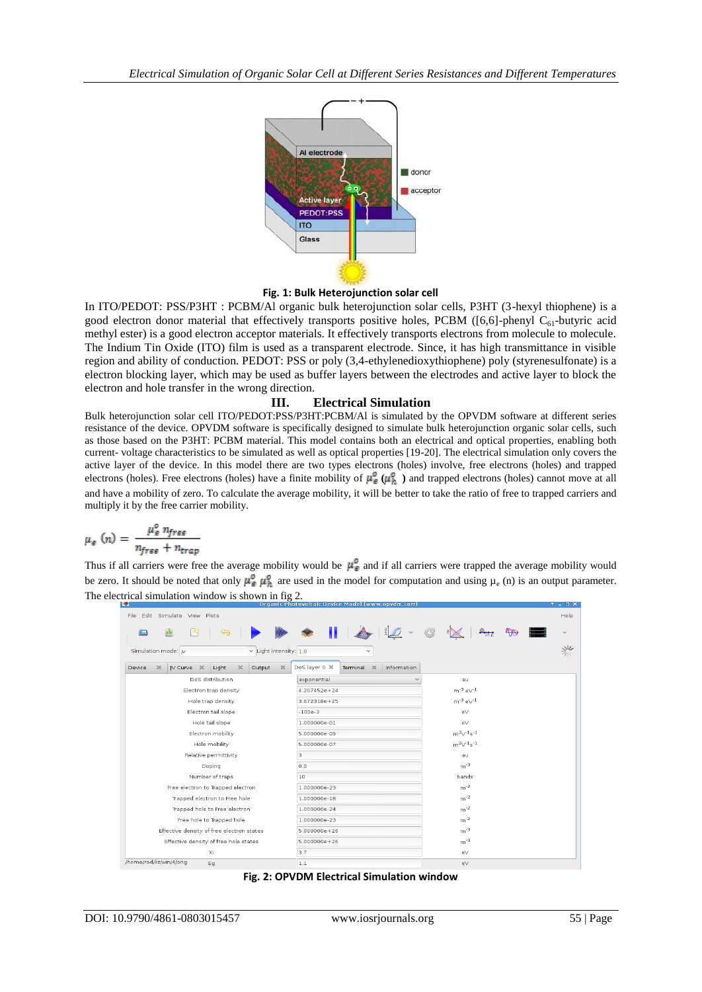

## **Fig. 1: Bulk Heterojunction solar cell**

In ITO/PEDOT: PSS/P3HT : PCBM/Al organic bulk heterojunction solar cells, P3HT (3-hexyl thiophene) is a good electron donor material that effectively transports positive holes, PCBM ( $[6,6]$ -phenyl C<sub>61</sub>-butyric acid methyl ester) is a good electron acceptor materials. It effectively transports electrons from molecule to molecule. The Indium Tin Oxide (ITO) film is used as a transparent electrode. Since, it has high transmittance in visible region and ability of conduction. PEDOT: PSS or poly (3,4-ethylenedioxythiophene) poly (styrenesulfonate) is a electron blocking layer, which may be used as buffer layers between the electrodes and active layer to block the electron and hole transfer in the wrong direction.

# **III. Electrical Simulation**

Bulk heterojunction solar cell ITO/PEDOT:PSS/P3HT:PCBM/Al is simulated by the OPVDM software at different series resistance of the device. OPVDM software is specifically designed to simulate bulk heterojunction organic solar cells, such as those based on the P3HT: PCBM material. This model contains both an electrical and optical properties, enabling both current- voltage characteristics to be simulated as well as optical properties [19-20]. The electrical simulation only covers the active layer of the device. In this model there are two types electrons (holes) involve, free electrons (holes) and trapped electrons (holes). Free electrons (holes) have a finite mobility of  $\mu_{\mathcal{E}}^0(\mu_h^0)$  and trapped electrons (holes) cannot move at all and have a mobility of zero. To calculate the average mobility, it will be better to take the ratio of free to trapped carriers and multiply it by the free carrier mobility.

$$
\mu_e(n) = \frac{\mu_e^0 n_{free}}{n_{free} + n_{trap}}
$$

Thus if all carriers were free the average mobility would be  $\mu_{\epsilon}^0$  and if all carriers were trapped the average mobility would be zero. It should be noted that only  $\mu_{\mathcal{C}}^{\circ}$   $\mu_{\mathcal{R}}^{\circ}$  are used in the model for computation and using  $\mu_{\mathcal{C}}$  (n) is an output parameter. The electrical simulation window is shown in fig 2.

| <b>COLL</b>                                                                    | organic Photovoitaic Device Model (www.opvdili.com) |                        |              |
|--------------------------------------------------------------------------------|-----------------------------------------------------|------------------------|--------------|
| File Edit Simulate View Plots                                                  |                                                     |                        | Help         |
| 圕<br>$\overline{q}$<br>ਥ<br>œ                                                  | $\mathbf{u}$<br>$\check{~}$                         | G                      | $\checkmark$ |
| $\times$ Light intensity: 1.0<br>Simulation mode: jv                           | $\checkmark$                                        |                        | 兴            |
| $\bowtie$<br>IV Curve X<br>Light<br>Device<br>$\bowtie$<br>Output<br>$\bowtie$ | DoS layer 0 X<br>Terminal X<br>Information          |                        |              |
| DoS distribution                                                               | exponential                                         | au                     |              |
| Electron trap density                                                          | 4.207452e+24                                        | $m^{-3} eV^{-1}$       |              |
| Hole trap density                                                              | 3,672318e+25                                        | $m^{-3}$ e $\vee^{-1}$ |              |
| Electron tail slope                                                            | $-100e-3$                                           | eV                     |              |
| Hole tail slope                                                                | 1.000000e-01                                        | eV                     |              |
| Electron mobility                                                              | 5.000000e-09                                        | $m^2V^{-1}s^{-1}$      |              |
| Hole mobility                                                                  | 5.000000e-07                                        | $m^2V^{-1}s^{-1}$      |              |
| Relative permittivity                                                          | 3                                                   | au                     |              |
| Doping                                                                         | 0.0                                                 | $m^{-3}$               |              |
| Number of traps                                                                | 10                                                  | bands                  |              |
| Free electron to Trapped electron                                              | 1.000000e-23                                        | $m^{-2}$               |              |
| Trapped electron to Free hole                                                  | 1.000000e-18                                        | $m^{-2}$               |              |
| Trapped hole to Free electron                                                  | 1.000000e-24                                        | $m^{-2}$               |              |
| Free hole to Trapped hole                                                      | 1.000000e-23                                        | $m^{-2}$               |              |
| Effective density of free electron states                                      | 5.000000e+26                                        | $m^{-3}$               |              |
| Effective density of free hole states                                          | 5.000000e+26                                        | $m^{-3}$               |              |
| Xi                                                                             | 3.7                                                 | $\mathsf{e}\mathsf{V}$ |              |
| /home/rod/liz/win/4/orig<br>Eg                                                 | $1.1\,$                                             | eV                     |              |

**Fig. 2: OPVDM Electrical Simulation window**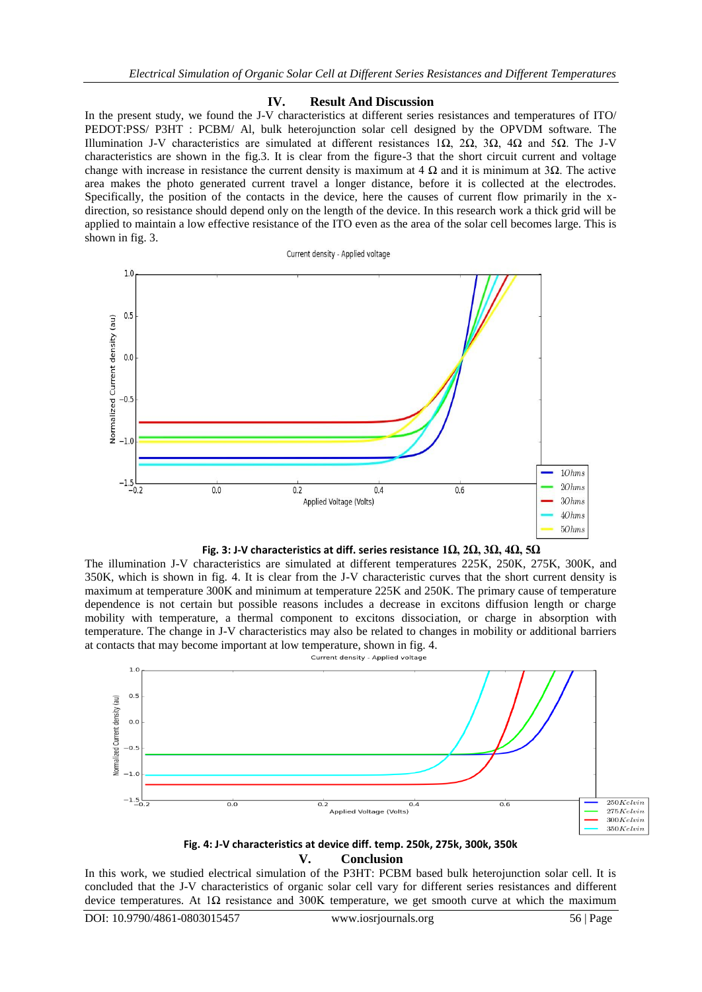## **IV. Result And Discussion**

In the present study, we found the J-V characteristics at different series resistances and temperatures of ITO/ PEDOT:PSS/ P3HT : PCBM/ Al, bulk heterojunction solar cell designed by the OPVDM software. The Illumination J-V characteristics are simulated at different resistances 1Ω, 2Ω, 3Ω, 4Ω and 5Ω. The J-V characteristics are shown in the fig.3. It is clear from the figure-3 that the short circuit current and voltage change with increase in resistance the current density is maximum at 4  $\Omega$  and it is minimum at 3 $\Omega$ . The active area makes the photo generated current travel a longer distance, before it is collected at the electrodes. Specifically, the position of the contacts in the device, here the causes of current flow primarily in the xdirection, so resistance should depend only on the length of the device. In this research work a thick grid will be applied to maintain a low effective resistance of the ITO even as the area of the solar cell becomes large. This is shown in fig. 3.





The illumination J-V characteristics are simulated at different temperatures 225K, 250K, 275K, 300K, and 350K, which is shown in fig. 4. It is clear from the J-V characteristic curves that the short current density is maximum at temperature 300K and minimum at temperature 225K and 250K. The primary cause of temperature dependence is not certain but possible reasons includes a decrease in excitons diffusion length or charge mobility with temperature, a thermal component to excitons dissociation, or charge in absorption with temperature. The change in J-V characteristics may also be related to changes in mobility or additional barriers at contacts that may become important at low temperature, shown in fig. 4.



**Fig. 4: J-V characteristics at device diff. temp. 250k, 275k, 300k, 350k**

## **V. Conclusion**

In this work, we studied electrical simulation of the P3HT: PCBM based bulk heterojunction solar cell. It is concluded that the J-V characteristics of organic solar cell vary for different series resistances and different device temperatures. At 1Ω resistance and 300K temperature, we get smooth curve at which the maximum